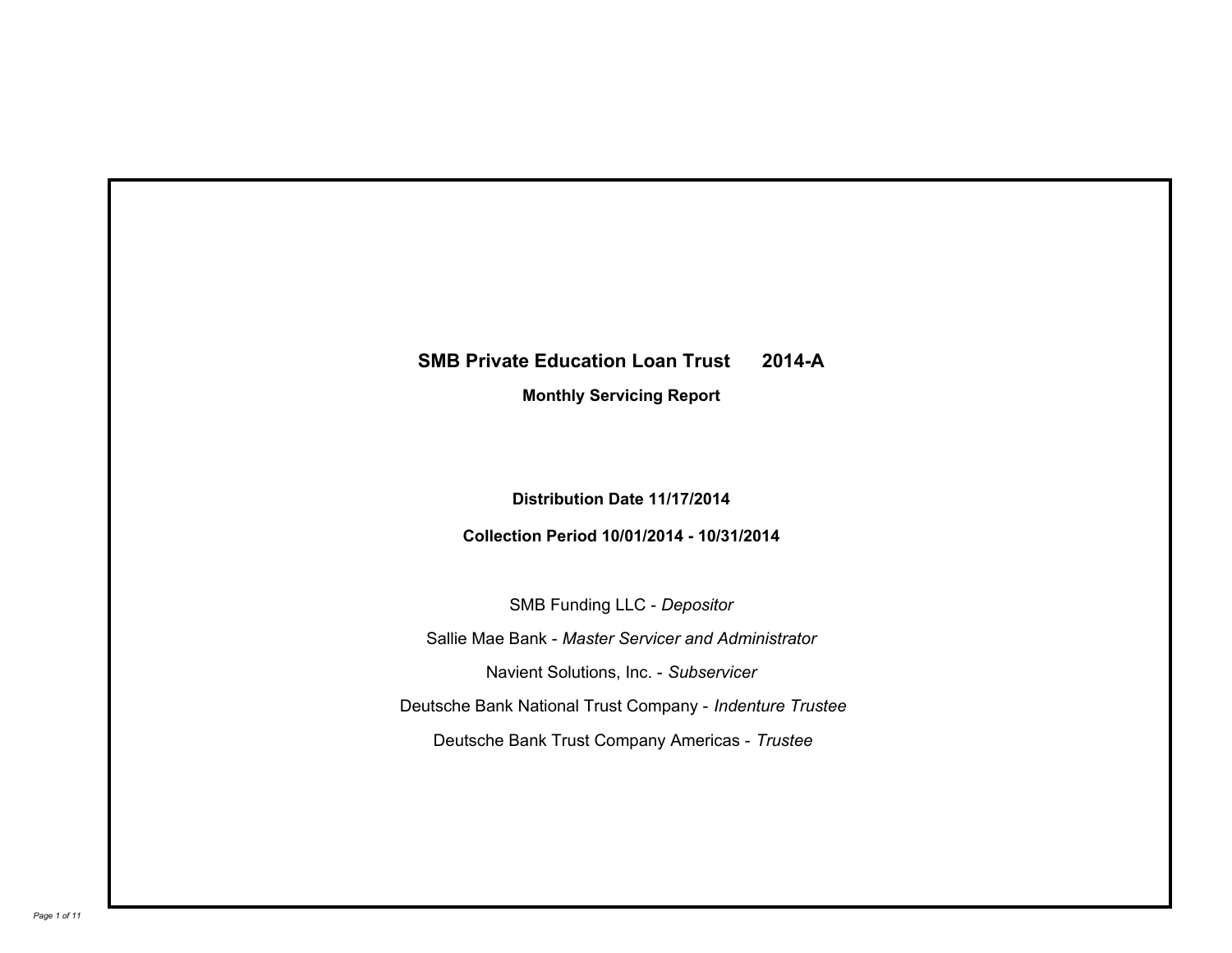# **SMB Private Education Loan Trust 2014-A**

**Monthly Servicing Report**

**Distribution Date 11/17/2014**

**Collection Period 10/01/2014 - 10/31/2014**

SMB Funding LLC - *Depositor* Sallie Mae Bank - *Master Servicer and Administrator* Deutsche Bank National Trust Company - *Indenture Trustee* Deutsche Bank Trust Company Americas - *Trustee* Navient Solutions, Inc. - *Subservicer*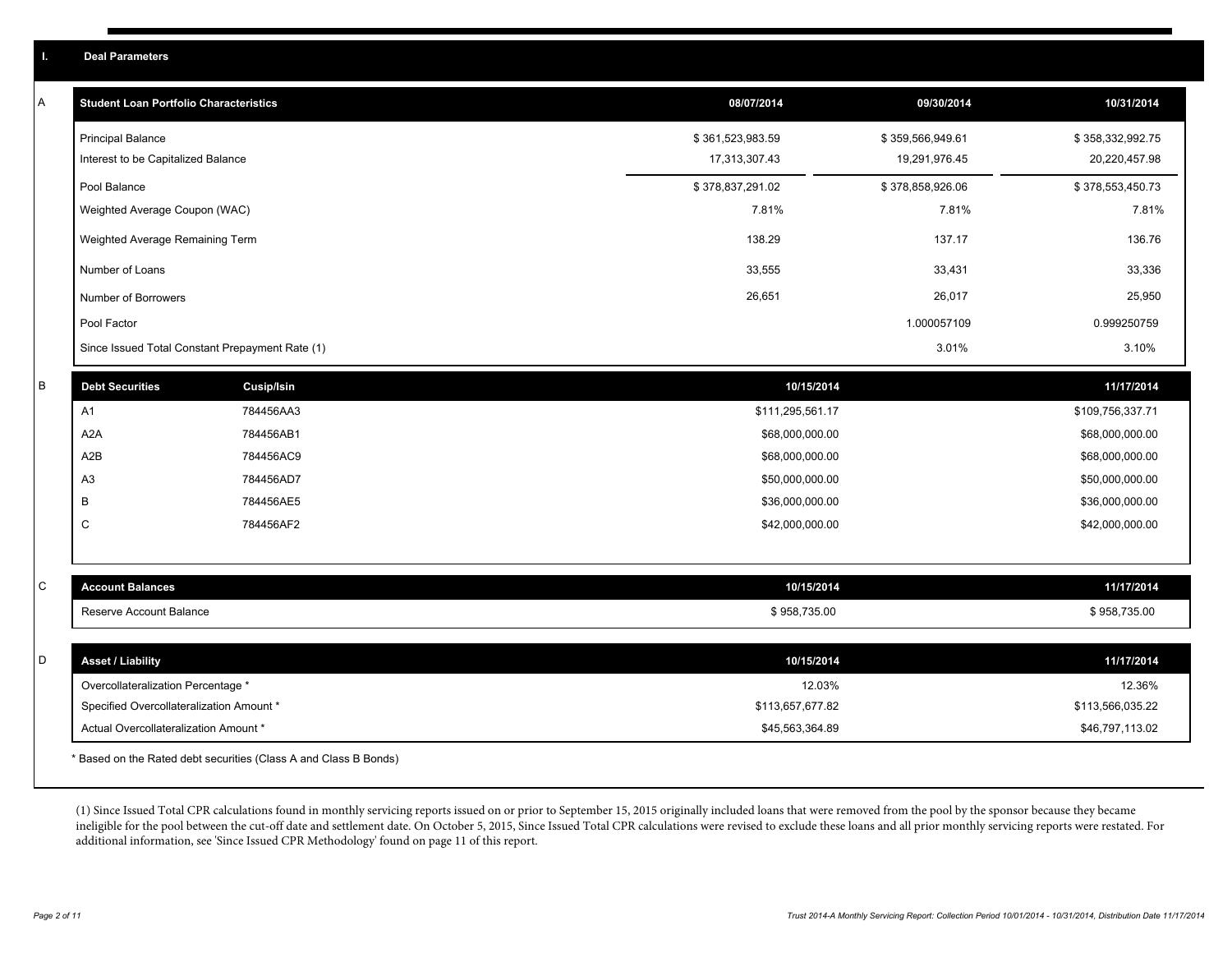| A | <b>Student Loan Portfolio Characteristics</b>   |                   | 08/07/2014       | 09/30/2014       | 10/31/2014       |
|---|-------------------------------------------------|-------------------|------------------|------------------|------------------|
|   | <b>Principal Balance</b>                        |                   | \$361,523,983.59 | \$359,566,949.61 | \$358,332,992.75 |
|   | Interest to be Capitalized Balance              |                   | 17,313,307.43    | 19,291,976.45    | 20,220,457.98    |
|   | Pool Balance                                    |                   | \$378,837,291.02 | \$378,858,926.06 | \$378,553,450.73 |
|   | Weighted Average Coupon (WAC)                   |                   | 7.81%            | 7.81%            | 7.81%            |
|   | Weighted Average Remaining Term                 |                   | 138.29           | 137.17           | 136.76           |
|   | Number of Loans                                 |                   | 33,555           | 33,431           | 33,336           |
|   | Number of Borrowers                             |                   | 26,651           | 26,017           | 25,950           |
|   | Pool Factor                                     |                   |                  | 1.000057109      | 0.999250759      |
|   | Since Issued Total Constant Prepayment Rate (1) |                   |                  | 3.01%            | 3.10%            |
| B | <b>Debt Securities</b>                          | <b>Cusip/Isin</b> | 10/15/2014       |                  | 11/17/2014       |
|   | A1                                              | 784456AA3         | \$111,295,561.17 |                  | \$109,756,337.71 |
|   | A <sub>2</sub> A                                | 784456AB1         | \$68,000,000.00  |                  | \$68,000,000.00  |
|   | A2B                                             | 784456AC9         | \$68,000,000.00  |                  | \$68,000,000.00  |
|   | A <sub>3</sub>                                  | 784456AD7         | \$50,000,000.00  |                  | \$50,000,000.00  |
|   | В                                               | 784456AE5         | \$36,000,000.00  |                  | \$36,000,000.00  |
|   | $\mathsf C$                                     | 784456AF2         | \$42,000,000.00  |                  | \$42,000,000.00  |
|   |                                                 |                   |                  |                  |                  |
| С | <b>Account Balances</b>                         |                   | 10/15/2014       |                  | 11/17/2014       |
|   | Reserve Account Balance                         |                   | \$958,735.00     |                  | \$958,735.00     |
|   |                                                 |                   |                  |                  |                  |
| D | <b>Asset / Liability</b>                        |                   | 10/15/2014       |                  | 11/17/2014       |
|   | Overcollateralization Percentage *              |                   | 12.03%           |                  | 12.36%           |
|   | Specified Overcollateralization Amount *        |                   | \$113,657,677.82 |                  | \$113,566,035.22 |
|   | Actual Overcollateralization Amount *           |                   | \$45,563,364.89  |                  | \$46,797,113.02  |
|   |                                                 |                   |                  |                  |                  |

\* Based on the Rated debt securities (Class A and Class B Bonds)

(1) Since Issued Total CPR calculations found in monthly servicing reports issued on or prior to September 15, 2015 originally included loans that were removed from the pool by the sponsor because they became ineligible for the pool between the cut-off date and settlement date. On October 5, 2015, Since Issued Total CPR calculations were revised to exclude these loans and all prior monthly servicing reports were restated. For additional information, see 'Since Issued CPR Methodology' found on page 11 of this report.

**I. Deal Parameters**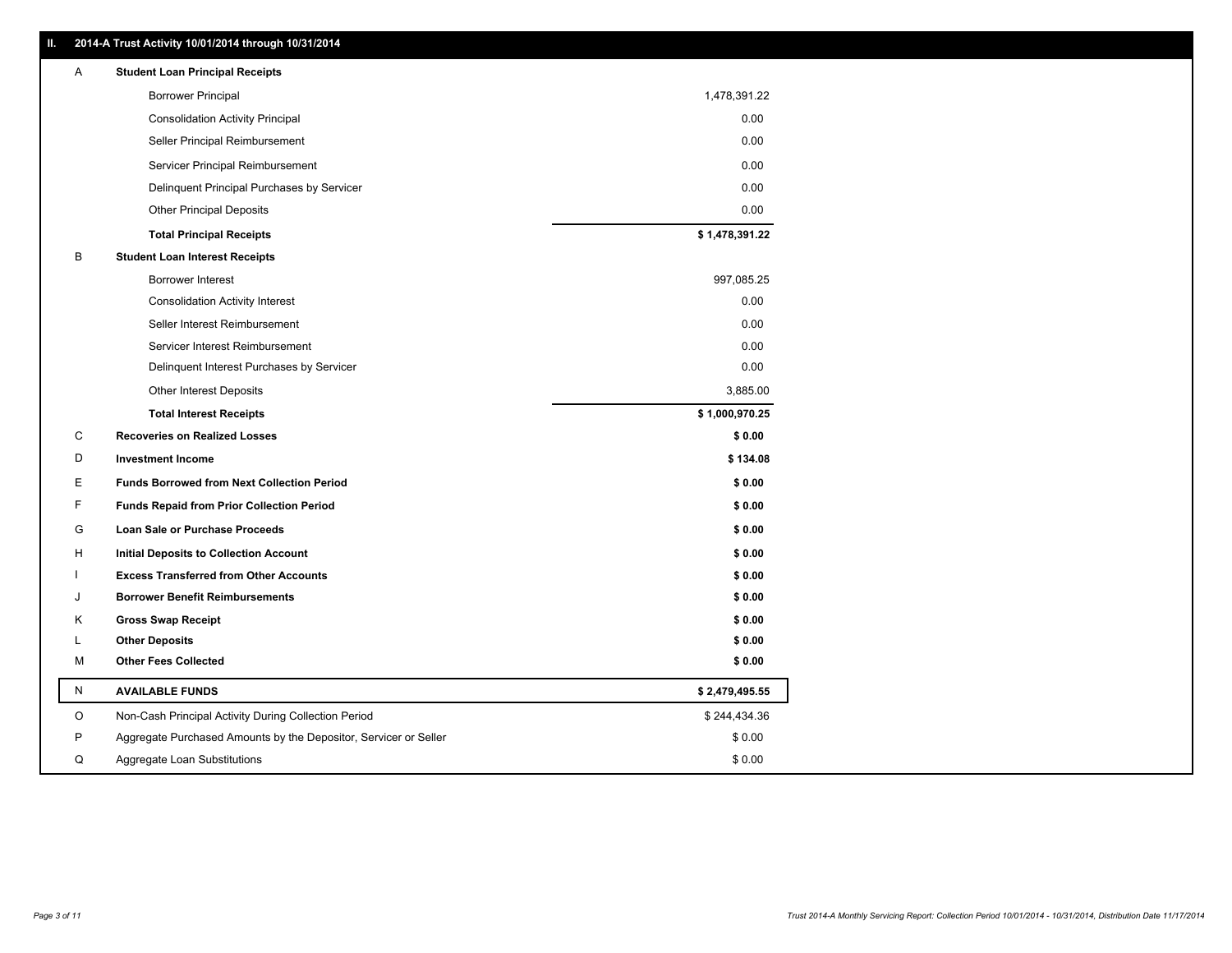| ш | 2014-A Trust Activity 10/01/2014 through 10/31/2014              |                |
|---|------------------------------------------------------------------|----------------|
| Α | <b>Student Loan Principal Receipts</b>                           |                |
|   | <b>Borrower Principal</b>                                        | 1,478,391.22   |
|   | <b>Consolidation Activity Principal</b>                          | 0.00           |
|   | Seller Principal Reimbursement                                   | 0.00           |
|   | Servicer Principal Reimbursement                                 | 0.00           |
|   | Delinquent Principal Purchases by Servicer                       | 0.00           |
|   | <b>Other Principal Deposits</b>                                  | 0.00           |
|   | <b>Total Principal Receipts</b>                                  | \$1,478,391.22 |
| в | <b>Student Loan Interest Receipts</b>                            |                |
|   | <b>Borrower Interest</b>                                         | 997,085.25     |
|   | <b>Consolidation Activity Interest</b>                           | 0.00           |
|   | Seller Interest Reimbursement                                    | 0.00           |
|   | Servicer Interest Reimbursement                                  | 0.00           |
|   | Delinquent Interest Purchases by Servicer                        | 0.00           |
|   | <b>Other Interest Deposits</b>                                   | 3,885.00       |
|   | <b>Total Interest Receipts</b>                                   | \$1,000,970.25 |
| С | <b>Recoveries on Realized Losses</b>                             | \$0.00         |
| D | <b>Investment Income</b>                                         | \$134.08       |
| Е | <b>Funds Borrowed from Next Collection Period</b>                | \$0.00         |
| F | <b>Funds Repaid from Prior Collection Period</b>                 | \$0.00         |
| G | Loan Sale or Purchase Proceeds                                   | \$0.00         |
| н | <b>Initial Deposits to Collection Account</b>                    | \$0.00         |
| ı | <b>Excess Transferred from Other Accounts</b>                    | \$0.00         |
| J | <b>Borrower Benefit Reimbursements</b>                           | \$0.00         |
| κ | <b>Gross Swap Receipt</b>                                        | \$0.00         |
| L | <b>Other Deposits</b>                                            | \$0.00         |
| М | <b>Other Fees Collected</b>                                      | \$0.00         |
| N | <b>AVAILABLE FUNDS</b>                                           | \$2,479,495.55 |
| O | Non-Cash Principal Activity During Collection Period             | \$244,434.36   |
| P | Aggregate Purchased Amounts by the Depositor, Servicer or Seller | \$0.00         |
| Q | Aggregate Loan Substitutions                                     | \$0.00         |

**II. 2014-A Trust Activity 10/01/2014 through 10/31/2014**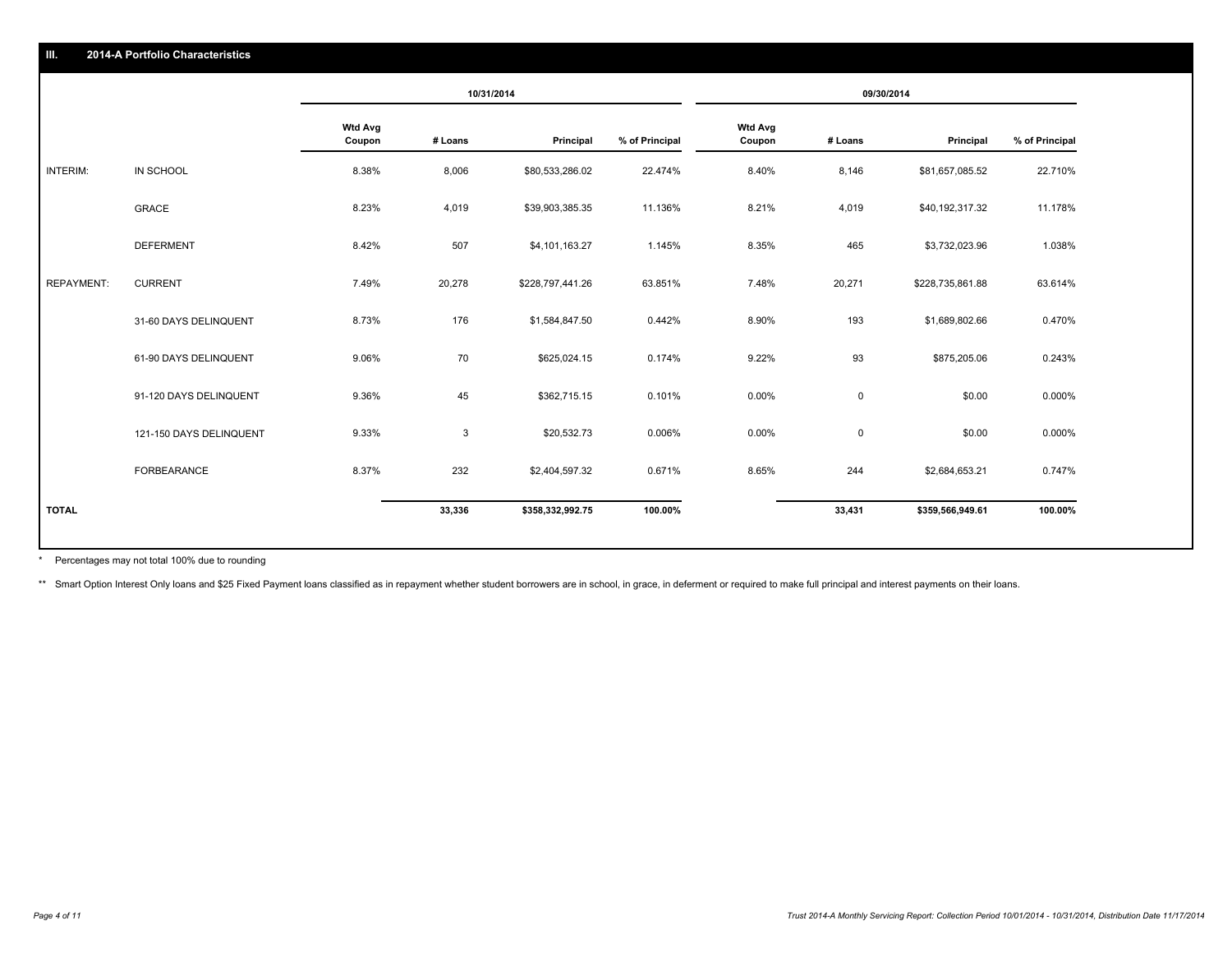|                   |                         | 10/31/2014               |         |                  | 09/30/2014     |                          |             |                  |                |
|-------------------|-------------------------|--------------------------|---------|------------------|----------------|--------------------------|-------------|------------------|----------------|
|                   |                         | <b>Wtd Avg</b><br>Coupon | # Loans | Principal        | % of Principal | <b>Wtd Avg</b><br>Coupon | # Loans     | Principal        | % of Principal |
| INTERIM:          | IN SCHOOL               | 8.38%                    | 8,006   | \$80,533,286.02  | 22.474%        | 8.40%                    | 8,146       | \$81,657,085.52  | 22.710%        |
|                   | <b>GRACE</b>            | 8.23%                    | 4,019   | \$39,903,385.35  | 11.136%        | 8.21%                    | 4,019       | \$40,192,317.32  | 11.178%        |
|                   | <b>DEFERMENT</b>        | 8.42%                    | 507     | \$4,101,163.27   | 1.145%         | 8.35%                    | 465         | \$3,732,023.96   | 1.038%         |
| <b>REPAYMENT:</b> | <b>CURRENT</b>          | 7.49%                    | 20,278  | \$228,797,441.26 | 63.851%        | 7.48%                    | 20,271      | \$228,735,861.88 | 63.614%        |
|                   | 31-60 DAYS DELINQUENT   | 8.73%                    | 176     | \$1,584,847.50   | 0.442%         | 8.90%                    | 193         | \$1,689,802.66   | 0.470%         |
|                   | 61-90 DAYS DELINQUENT   | 9.06%                    | 70      | \$625,024.15     | 0.174%         | 9.22%                    | 93          | \$875,205.06     | 0.243%         |
|                   | 91-120 DAYS DELINQUENT  | 9.36%                    | 45      | \$362,715.15     | 0.101%         | 0.00%                    | $\mathbf 0$ | \$0.00           | 0.000%         |
|                   | 121-150 DAYS DELINQUENT | 9.33%                    | 3       | \$20,532.73      | 0.006%         | 0.00%                    | $\mathbf 0$ | \$0.00           | 0.000%         |
|                   | FORBEARANCE             | 8.37%                    | 232     | \$2,404,597.32   | 0.671%         | 8.65%                    | 244         | \$2,684,653.21   | 0.747%         |
| <b>TOTAL</b>      |                         |                          | 33,336  | \$358,332,992.75 | 100.00%        |                          | 33,431      | \$359,566,949.61 | 100.00%        |

Percentages may not total 100% due to rounding \*

\*\* Smart Option Interest Only loans and \$25 Fixed Payment loans classified as in repayment whether student borrowers are in school, in grace, in deferment or required to make full principal and interest payments on their l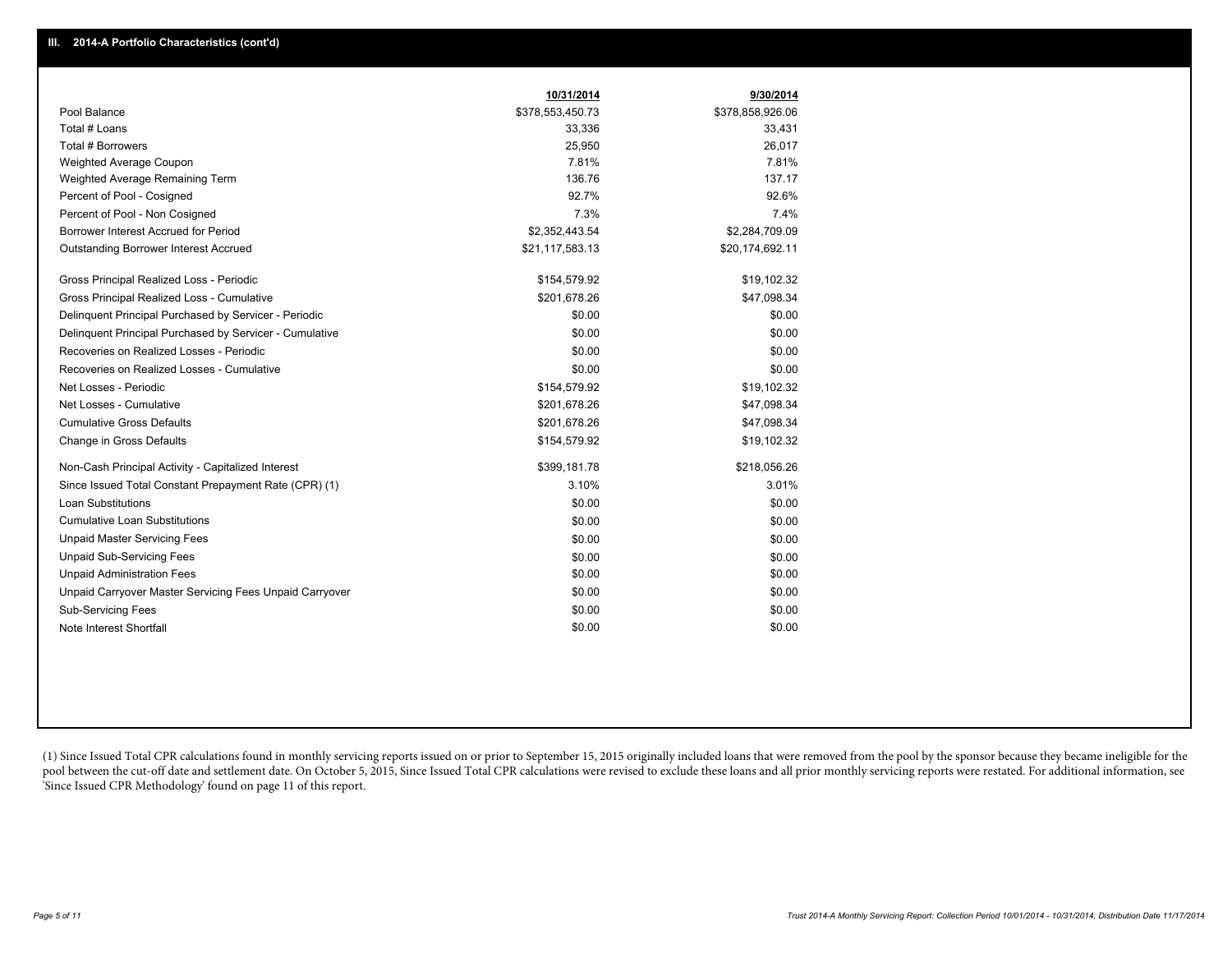|                                                         | 10/31/2014       | 9/30/2014        |
|---------------------------------------------------------|------------------|------------------|
| Pool Balance                                            | \$378,553,450.73 | \$378,858,926.06 |
| Total # Loans                                           | 33,336           | 33,431           |
| Total # Borrowers                                       | 25,950           | 26,017           |
| Weighted Average Coupon                                 | 7.81%            | 7.81%            |
| Weighted Average Remaining Term                         | 136.76           | 137.17           |
| Percent of Pool - Cosigned                              | 92.7%            | 92.6%            |
| Percent of Pool - Non Cosigned                          | 7.3%             | 7.4%             |
| Borrower Interest Accrued for Period                    | \$2,352,443.54   | \$2,284,709.09   |
| <b>Outstanding Borrower Interest Accrued</b>            | \$21,117,583.13  | \$20,174,692.11  |
| Gross Principal Realized Loss - Periodic                | \$154,579.92     | \$19,102.32      |
| Gross Principal Realized Loss - Cumulative              | \$201,678.26     | \$47,098.34      |
| Delinquent Principal Purchased by Servicer - Periodic   | \$0.00           | \$0.00           |
| Delinquent Principal Purchased by Servicer - Cumulative | \$0.00           | \$0.00           |
| Recoveries on Realized Losses - Periodic                | \$0.00           | \$0.00           |
| Recoveries on Realized Losses - Cumulative              | \$0.00           | \$0.00           |
| Net Losses - Periodic                                   | \$154,579.92     | \$19,102.32      |
| Net Losses - Cumulative                                 | \$201,678.26     | \$47,098.34      |
| <b>Cumulative Gross Defaults</b>                        | \$201,678.26     | \$47,098.34      |
| Change in Gross Defaults                                | \$154,579.92     | \$19,102.32      |
| Non-Cash Principal Activity - Capitalized Interest      | \$399,181.78     | \$218,056.26     |
| Since Issued Total Constant Prepayment Rate (CPR) (1)   | 3.10%            | 3.01%            |
| <b>Loan Substitutions</b>                               | \$0.00           | \$0.00           |
| <b>Cumulative Loan Substitutions</b>                    | \$0.00           | \$0.00           |
| <b>Unpaid Master Servicing Fees</b>                     | \$0.00           | \$0.00           |
| <b>Unpaid Sub-Servicing Fees</b>                        | \$0.00           | \$0.00           |
| <b>Unpaid Administration Fees</b>                       | \$0.00           | \$0.00           |
| Unpaid Carryover Master Servicing Fees Unpaid Carryover | \$0.00           | \$0.00           |
| <b>Sub-Servicing Fees</b>                               | \$0.00           | \$0.00           |
| Note Interest Shortfall                                 | \$0.00           | \$0.00           |

(1) Since Issued Total CPR calculations found in monthly servicing reports issued on or prior to September 15, 2015 originally included loans that were removed from the pool by the sponsor because they became ineligible fo pool between the cut-off date and settlement date. On October 5, 2015, Since Issued Total CPR calculations were revised to exclude these loans and all prior monthly servicing reports were restated. For additional informati 'Since Issued CPR Methodology' found on page 11 of this report.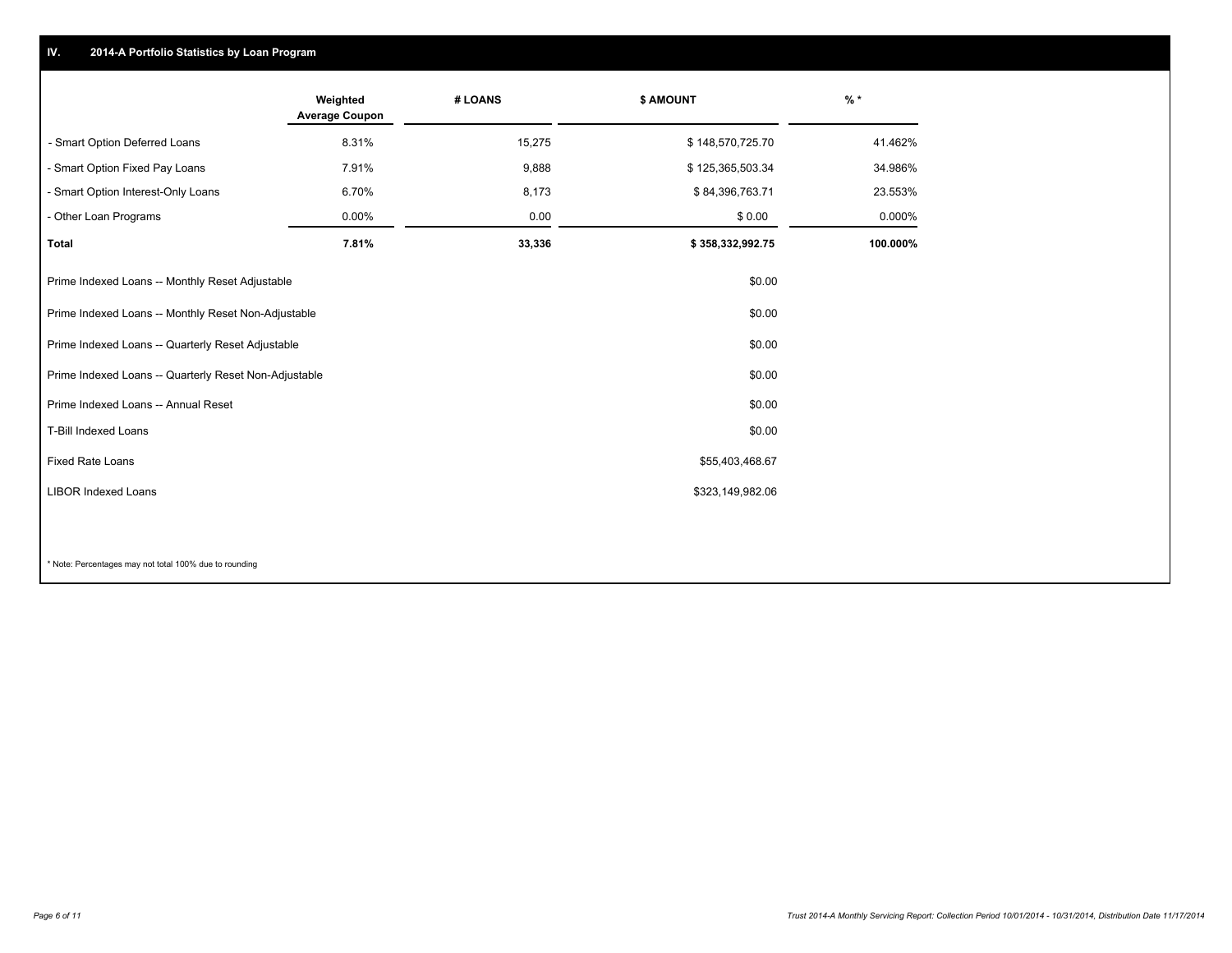### **IV. 2014-A Portfolio Statistics by Loan Program**

|                                                       | Weighted<br><b>Average Coupon</b> | # LOANS | <b>\$ AMOUNT</b> | $%$ *    |
|-------------------------------------------------------|-----------------------------------|---------|------------------|----------|
| - Smart Option Deferred Loans                         | 8.31%                             | 15,275  | \$148,570,725.70 | 41.462%  |
| - Smart Option Fixed Pay Loans                        | 7.91%                             | 9,888   | \$125,365,503.34 | 34.986%  |
| - Smart Option Interest-Only Loans                    | 6.70%                             | 8,173   | \$84,396,763.71  | 23.553%  |
| - Other Loan Programs                                 | 0.00%                             | 0.00    | \$0.00           | 0.000%   |
| <b>Total</b>                                          | 7.81%                             | 33,336  | \$358,332,992.75 | 100.000% |
| Prime Indexed Loans -- Monthly Reset Adjustable       |                                   |         | \$0.00           |          |
| Prime Indexed Loans -- Monthly Reset Non-Adjustable   |                                   |         | \$0.00           |          |
| Prime Indexed Loans -- Quarterly Reset Adjustable     |                                   |         | \$0.00           |          |
| Prime Indexed Loans -- Quarterly Reset Non-Adjustable |                                   |         | \$0.00           |          |
| Prime Indexed Loans -- Annual Reset                   |                                   |         | \$0.00           |          |
| <b>T-Bill Indexed Loans</b>                           |                                   |         | \$0.00           |          |
| <b>Fixed Rate Loans</b>                               |                                   |         | \$55,403,468.67  |          |
| <b>LIBOR Indexed Loans</b>                            |                                   |         | \$323,149,982.06 |          |
|                                                       |                                   |         |                  |          |

\* Note: Percentages may not total 100% due to rounding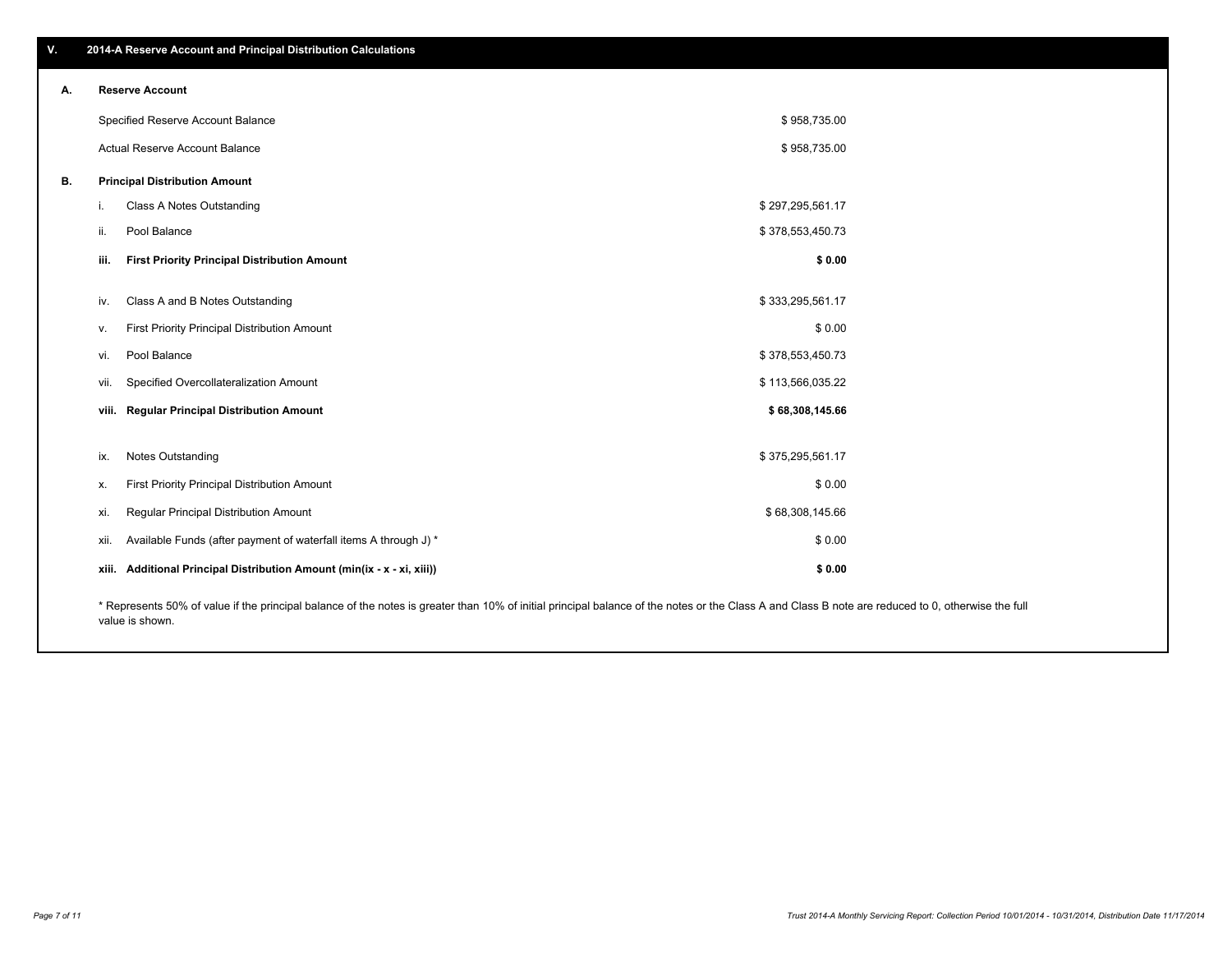|    |                                                                                                                                                                                                    | Specified Reserve Account Balance                                 | \$958,735.00     |  |  |  |
|----|----------------------------------------------------------------------------------------------------------------------------------------------------------------------------------------------------|-------------------------------------------------------------------|------------------|--|--|--|
|    |                                                                                                                                                                                                    | <b>Actual Reserve Account Balance</b>                             | \$958,735.00     |  |  |  |
| В. |                                                                                                                                                                                                    | <b>Principal Distribution Amount</b>                              |                  |  |  |  |
|    | Ъ.                                                                                                                                                                                                 | Class A Notes Outstanding                                         | \$297,295,561.17 |  |  |  |
|    | ii.                                                                                                                                                                                                | Pool Balance                                                      | \$378,553,450.73 |  |  |  |
|    | iii.                                                                                                                                                                                               | <b>First Priority Principal Distribution Amount</b>               | \$0.00           |  |  |  |
|    | iv.                                                                                                                                                                                                | Class A and B Notes Outstanding                                   | \$333,295,561.17 |  |  |  |
|    | v.                                                                                                                                                                                                 | First Priority Principal Distribution Amount                      | \$0.00           |  |  |  |
|    | VI.                                                                                                                                                                                                | Pool Balance                                                      | \$378,553,450.73 |  |  |  |
|    | Vİİ.                                                                                                                                                                                               | Specified Overcollateralization Amount                            | \$113,566,035.22 |  |  |  |
|    | viii.                                                                                                                                                                                              | <b>Regular Principal Distribution Amount</b>                      | \$68,308,145.66  |  |  |  |
|    |                                                                                                                                                                                                    |                                                                   |                  |  |  |  |
|    | ix.                                                                                                                                                                                                | <b>Notes Outstanding</b>                                          | \$375,295,561.17 |  |  |  |
|    | х.                                                                                                                                                                                                 | First Priority Principal Distribution Amount                      | \$0.00           |  |  |  |
|    | XI.                                                                                                                                                                                                | Regular Principal Distribution Amount                             | \$68,308,145.66  |  |  |  |
|    | XII.                                                                                                                                                                                               | Available Funds (after payment of waterfall items A through J) *  | \$0.00           |  |  |  |
|    | xiii.                                                                                                                                                                                              | Additional Principal Distribution Amount (min(ix - x - xi, xiii)) | \$0.00           |  |  |  |
|    | * Represents 50% of value if the principal balance of the notes is greater than 10% of initial principal balance of the notes or the Class A and Class B note are reduced to 0, otherwise the full |                                                                   |                  |  |  |  |

value is shown.

**V. 2014-A Reserve Account and Principal Distribution Calculations**

**A. Reserve Account**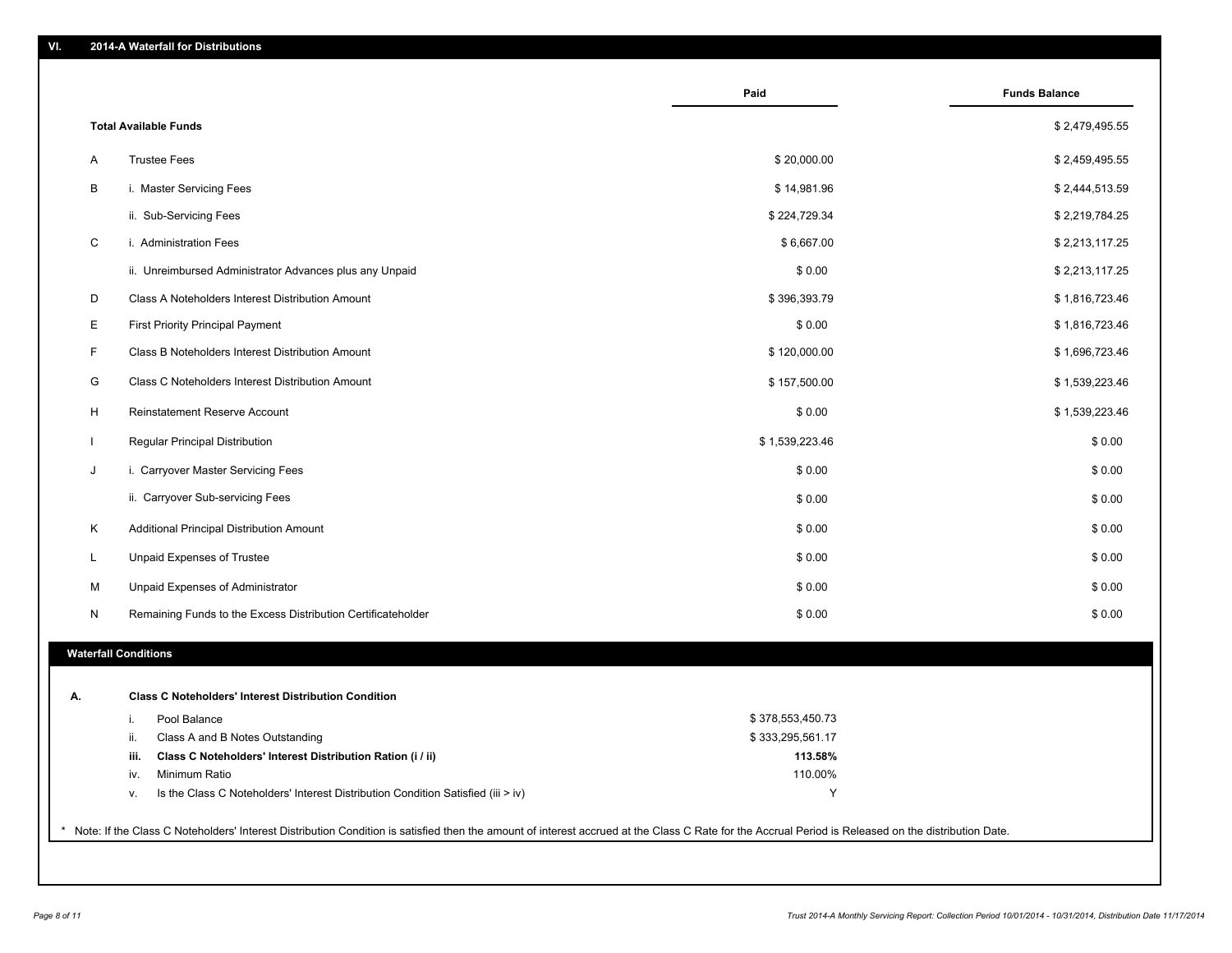|    |                                                                                        | Paid             | <b>Funds Balance</b> |
|----|----------------------------------------------------------------------------------------|------------------|----------------------|
|    | <b>Total Available Funds</b>                                                           |                  | \$2,479,495.55       |
| A  | <b>Trustee Fees</b>                                                                    | \$20,000.00      | \$2,459,495.55       |
| B  | i. Master Servicing Fees                                                               | \$14,981.96      | \$2,444,513.59       |
|    | ii. Sub-Servicing Fees                                                                 | \$224,729.34     | \$2,219,784.25       |
| C  | i. Administration Fees                                                                 | \$6,667.00       | \$2,213,117.25       |
|    | ii. Unreimbursed Administrator Advances plus any Unpaid                                | \$0.00           | \$2,213,117.25       |
| D  | Class A Noteholders Interest Distribution Amount                                       | \$396,393.79     | \$1,816,723.46       |
| Е  | First Priority Principal Payment                                                       | \$0.00           | \$1,816,723.46       |
| F  | Class B Noteholders Interest Distribution Amount                                       | \$120,000.00     | \$1,696,723.46       |
| G  | Class C Noteholders Interest Distribution Amount                                       | \$157,500.00     | \$1,539,223.46       |
| H  | Reinstatement Reserve Account                                                          | \$0.00           | \$1,539,223.46       |
|    | Regular Principal Distribution                                                         | \$1,539,223.46   | \$0.00               |
| J  | i. Carryover Master Servicing Fees                                                     | \$0.00           | \$0.00               |
|    | ii. Carryover Sub-servicing Fees                                                       | \$0.00           | \$0.00               |
| Κ  | Additional Principal Distribution Amount                                               | \$0.00           | \$0.00               |
| L  | Unpaid Expenses of Trustee                                                             | \$0.00           | \$0.00               |
| М  | Unpaid Expenses of Administrator                                                       | \$0.00           | \$0.00               |
| N  | Remaining Funds to the Excess Distribution Certificateholder                           | \$0.00           | \$0.00               |
|    | <b>Waterfall Conditions</b>                                                            |                  |                      |
|    |                                                                                        |                  |                      |
| А. | <b>Class C Noteholders' Interest Distribution Condition</b>                            |                  |                      |
|    | Pool Balance<br>i.                                                                     | \$378,553,450.73 |                      |
|    | Class A and B Notes Outstanding<br>ii.                                                 | \$333,295,561.17 |                      |
|    | Class C Noteholders' Interest Distribution Ration (i / ii)<br>iii.                     | 113.58%          |                      |
|    | Minimum Ratio<br>IV.                                                                   | 110.00%          |                      |
|    | Is the Class C Noteholders' Interest Distribution Condition Satisfied (iii > iv)<br>v. | Y                |                      |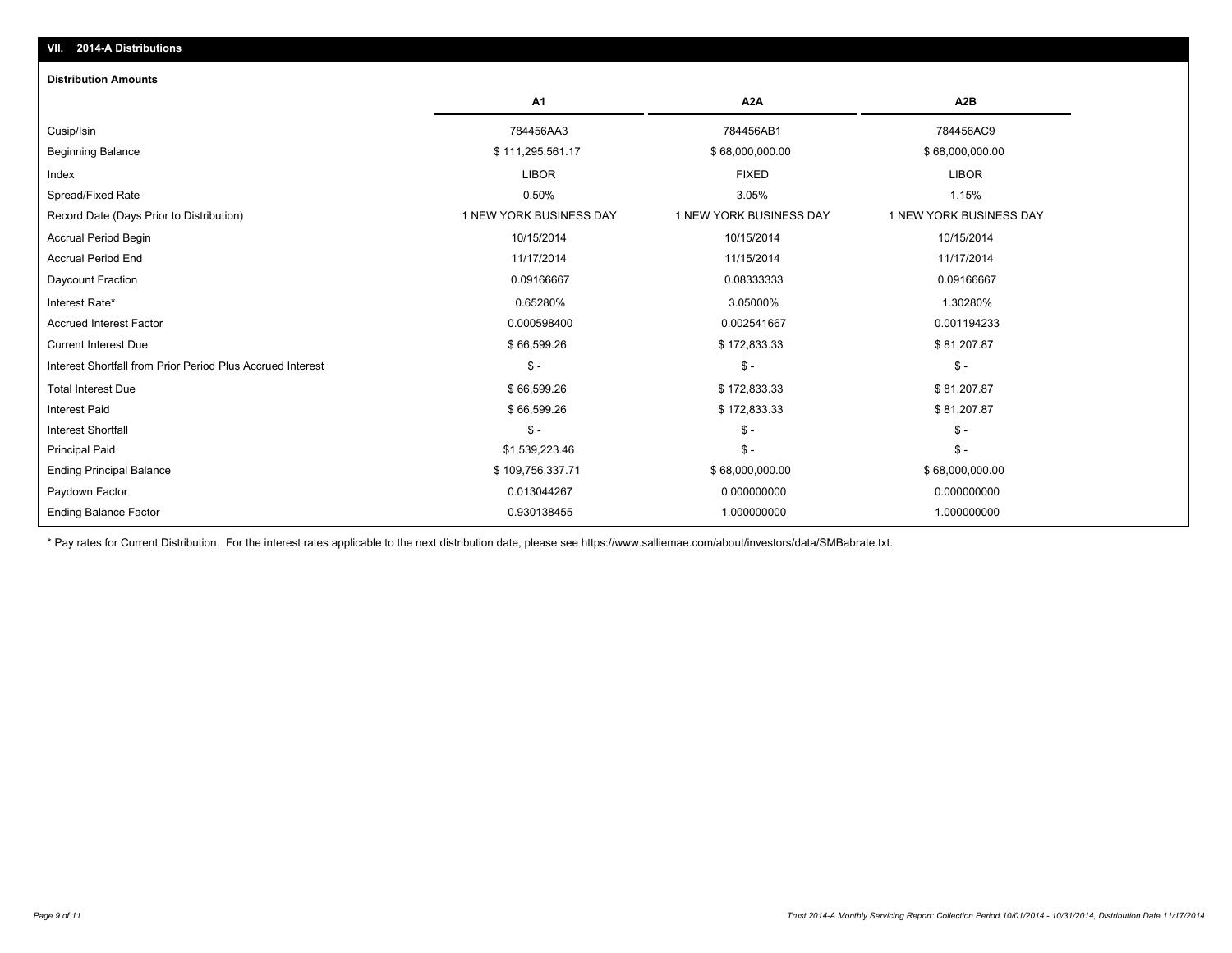| VII. | <b>2014-A Distributions</b> |
|------|-----------------------------|
|      |                             |

#### **Distribution Amounts**

|                                                            | A1                      | A <sub>2</sub> A        | A <sub>2</sub> B        |
|------------------------------------------------------------|-------------------------|-------------------------|-------------------------|
| Cusip/Isin                                                 | 784456AA3               | 784456AB1               | 784456AC9               |
| <b>Beginning Balance</b>                                   | \$111,295,561.17        | \$68,000,000.00         | \$68,000,000.00         |
| Index                                                      | <b>LIBOR</b>            | <b>FIXED</b>            | <b>LIBOR</b>            |
| Spread/Fixed Rate                                          | 0.50%                   | 3.05%                   | 1.15%                   |
| Record Date (Days Prior to Distribution)                   | 1 NEW YORK BUSINESS DAY | 1 NEW YORK BUSINESS DAY | 1 NEW YORK BUSINESS DAY |
| <b>Accrual Period Begin</b>                                | 10/15/2014              | 10/15/2014              | 10/15/2014              |
| <b>Accrual Period End</b>                                  | 11/17/2014              | 11/15/2014              | 11/17/2014              |
| Daycount Fraction                                          | 0.09166667              | 0.08333333              | 0.09166667              |
| Interest Rate*                                             | 0.65280%                | 3.05000%                | 1.30280%                |
| <b>Accrued Interest Factor</b>                             | 0.000598400             | 0.002541667             | 0.001194233             |
| <b>Current Interest Due</b>                                | \$66,599.26             | \$172,833.33            | \$81,207.87             |
| Interest Shortfall from Prior Period Plus Accrued Interest | $S -$                   | $S -$                   | $\mathsf{\$}$ -         |
| <b>Total Interest Due</b>                                  | \$66,599.26             | \$172,833.33            | \$81,207.87             |
| <b>Interest Paid</b>                                       | \$66,599.26             | \$172,833.33            | \$81,207.87             |
| <b>Interest Shortfall</b>                                  | $\frac{2}{3}$ -         | $S -$                   | $\mathcal{S}$ -         |
| <b>Principal Paid</b>                                      | \$1,539,223.46          | $\mathsf{\$}$ -         | $\mathsf{\$}$ -         |
| <b>Ending Principal Balance</b>                            | \$109,756,337.71        | \$68,000,000.00         | \$68,000,000.00         |
| Paydown Factor                                             | 0.013044267             | 0.000000000             | 0.000000000             |
| <b>Ending Balance Factor</b>                               | 0.930138455             | 1.000000000             | 1.000000000             |

\* Pay rates for Current Distribution. For the interest rates applicable to the next distribution date, please see https://www.salliemae.com/about/investors/data/SMBabrate.txt.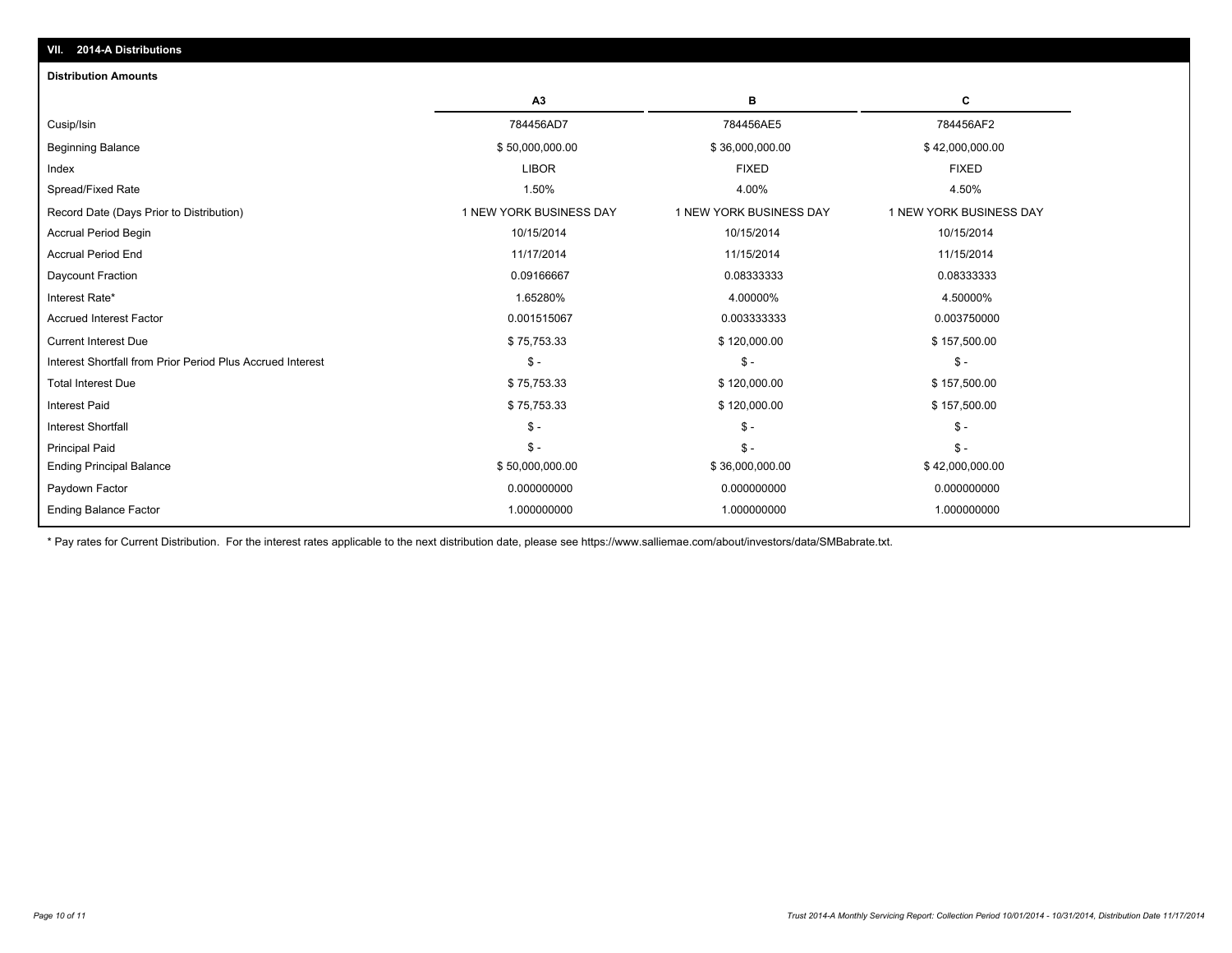| <b>AVITA DISCRIPTION</b>                                   |                         |                         |                         |
|------------------------------------------------------------|-------------------------|-------------------------|-------------------------|
| <b>Distribution Amounts</b>                                |                         |                         |                         |
|                                                            | A <sub>3</sub>          | в                       | C                       |
| Cusip/Isin                                                 | 784456AD7               | 784456AE5               | 784456AF2               |
| <b>Beginning Balance</b>                                   | \$50,000,000.00         | \$36,000,000.00         | \$42,000,000.00         |
| Index                                                      | <b>LIBOR</b>            | <b>FIXED</b>            | <b>FIXED</b>            |
| Spread/Fixed Rate                                          | 1.50%                   | 4.00%                   | 4.50%                   |
| Record Date (Days Prior to Distribution)                   | 1 NEW YORK BUSINESS DAY | 1 NEW YORK BUSINESS DAY | 1 NEW YORK BUSINESS DAY |
| <b>Accrual Period Begin</b>                                | 10/15/2014              | 10/15/2014              | 10/15/2014              |
| <b>Accrual Period End</b>                                  | 11/17/2014              | 11/15/2014              | 11/15/2014              |
| Daycount Fraction                                          | 0.09166667              | 0.08333333              | 0.08333333              |
| Interest Rate*                                             | 1.65280%                | 4.00000%                | 4.50000%                |
| <b>Accrued Interest Factor</b>                             | 0.001515067             | 0.003333333             | 0.003750000             |
| <b>Current Interest Due</b>                                | \$75,753.33             | \$120,000.00            | \$157,500.00            |
| Interest Shortfall from Prior Period Plus Accrued Interest | $\mathsf{\$}$ -         | $\mathsf{\$}$ -         | $\mathsf{\$}$ -         |
| <b>Total Interest Due</b>                                  | \$75,753.33             | \$120,000.00            | \$157,500.00            |
| <b>Interest Paid</b>                                       | \$75,753.33             | \$120,000.00            | \$157,500.00            |
| <b>Interest Shortfall</b>                                  | $\mathsf{\$}$ -         | $S -$                   | $\mathsf{\$}$ -         |
| <b>Principal Paid</b>                                      | $$ -$                   | $S -$                   | $S -$                   |
| <b>Ending Principal Balance</b>                            | \$50,000,000.00         | \$36,000,000.00         | \$42,000,000.00         |
| Paydown Factor                                             | 0.000000000             | 0.000000000             | 0.000000000             |
| <b>Ending Balance Factor</b>                               | 1.000000000             | 1.000000000             | 1.000000000             |

\* Pay rates for Current Distribution. For the interest rates applicable to the next distribution date, please see https://www.salliemae.com/about/investors/data/SMBabrate.txt.

**VII. 2014-A Distributions**